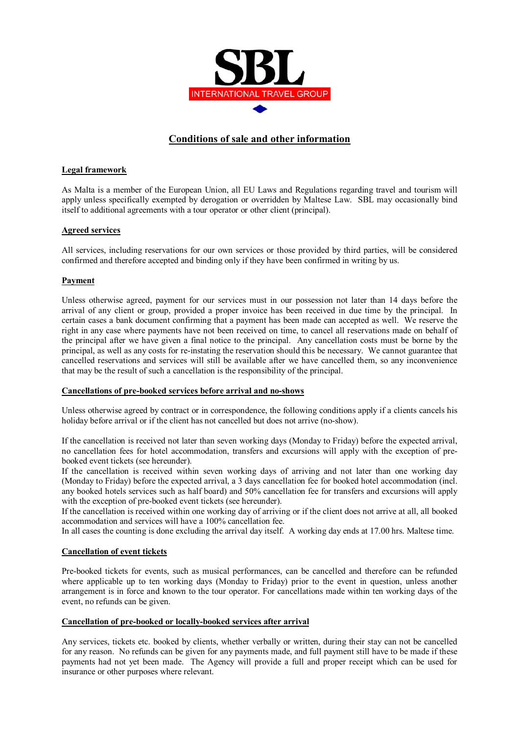

# **Conditions of sale and other information**

## **Legal framework**

As Malta is a member of the European Union, all EU Laws and Regulations regarding travel and tourism will apply unless specifically exempted by derogation or overridden by Maltese Law. SBL may occasionally bind itself to additional agreements with a tour operator or other client (principal).

### **Agreed services**

All services, including reservations for our own services or those provided by third parties, will be considered confirmed and therefore accepted and binding only if they have been confirmed in writing by us.

## **Payment**

Unless otherwise agreed, payment for our services must in our possession not later than 14 days before the arrival of any client or group, provided a proper invoice has been received in due time by the principal. In certain cases a bank document confirming that a payment has been made can accepted as well. We reserve the right in any case where payments have not been received on time, to cancel all reservations made on behalf of the principal after we have given a final notice to the principal. Any cancellation costs must be borne by the principal, as well as any costs for re-instating the reservation should this be necessary. We cannot guarantee that cancelled reservations and services will still be available after we have cancelled them, so any inconvenience that may be the result of such a cancellation is the responsibility of the principal.

### **Cancellations of pre-booked services before arrival and no-shows**

Unless otherwise agreed by contract or in correspondence, the following conditions apply if a clients cancels his holiday before arrival or if the client has not cancelled but does not arrive (no-show).

If the cancellation is received not later than seven working days (Monday to Friday) before the expected arrival, no cancellation fees for hotel accommodation, transfers and excursions will apply with the exception of prebooked event tickets (see hereunder).

If the cancellation is received within seven working days of arriving and not later than one working day (Monday to Friday) before the expected arrival, a 3 days cancellation fee for booked hotel accommodation (incl. any booked hotels services such as half board) and 50% cancellation fee for transfers and excursions will apply with the exception of pre-booked event tickets (see hereunder).

If the cancellation is received within one working day of arriving or if the client does not arrive at all, all booked accommodation and services will have a 100% cancellation fee.

In all cases the counting is done excluding the arrival day itself. A working day ends at 17.00 hrs. Maltese time.

### **Cancellation of event tickets**

Pre-booked tickets for events, such as musical performances, can be cancelled and therefore can be refunded where applicable up to ten working days (Monday to Friday) prior to the event in question, unless another arrangement is in force and known to the tour operator. For cancellations made within ten working days of the event, no refunds can be given.

### **Cancellation of pre-booked or locally-booked services after arrival**

Any services, tickets etc. booked by clients, whether verbally or written, during their stay can not be cancelled for any reason. No refunds can be given for any payments made, and full payment still have to be made if these payments had not yet been made. The Agency will provide a full and proper receipt which can be used for insurance or other purposes where relevant.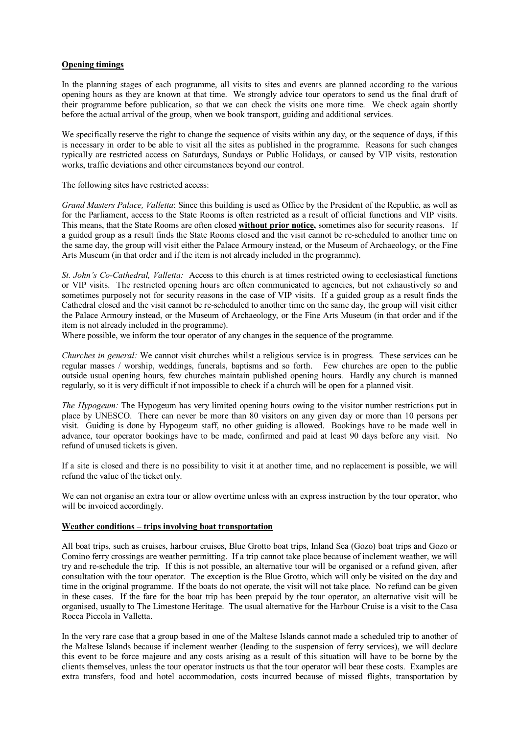### **Opening timings**

In the planning stages of each programme, all visits to sites and events are planned according to the various opening hours as they are known at that time. We strongly advice tour operators to send us the final draft of their programme before publication, so that we can check the visits one more time. We check again shortly before the actual arrival of the group, when we book transport, guiding and additional services.

We specifically reserve the right to change the sequence of visits within any day, or the sequence of days, if this is necessary in order to be able to visit all the sites as published in the programme. Reasons for such changes typically are restricted access on Saturdays, Sundays or Public Holidays, or caused by VIP visits, restoration works, traffic deviations and other circumstances beyond our control.

The following sites have restricted access:

*Grand Masters Palace, Valletta*: Since this building is used as Office by the President of the Republic, as well as for the Parliament, access to the State Rooms is often restricted as a result of official functions and VIP visits. This means, that the State Rooms are often closed **without prior notice,** sometimes also for security reasons. If a guided group as a result finds the State Rooms closed and the visit cannot be re-scheduled to another time on the same day, the group will visit either the Palace Armoury instead, or the Museum of Archaeology, or the Fine Arts Museum (in that order and if the item is not already included in the programme).

*St. John's Co-Cathedral, Valletta:* Access to this church is at times restricted owing to ecclesiastical functions or VIP visits. The restricted opening hours are often communicated to agencies, but not exhaustively so and sometimes purposely not for security reasons in the case of VIP visits. If a guided group as a result finds the Cathedral closed and the visit cannot be re-scheduled to another time on the same day, the group will visit either the Palace Armoury instead, or the Museum of Archaeology, or the Fine Arts Museum (in that order and if the item is not already included in the programme).

Where possible, we inform the tour operator of any changes in the sequence of the programme.

*Churches in general:* We cannot visit churches whilst a religious service is in progress. These services can be regular masses / worship, weddings, funerals, baptisms and so forth. Few churches are open to the public outside usual opening hours, few churches maintain published opening hours. Hardly any church is manned regularly, so it is very difficult if not impossible to check if a church will be open for a planned visit.

*The Hypogeum:* The Hypogeum has very limited opening hours owing to the visitor number restrictions put in place by UNESCO. There can never be more than 80 visitors on any given day or more than 10 persons per visit. Guiding is done by Hypogeum staff, no other guiding is allowed. Bookings have to be made well in advance, tour operator bookings have to be made, confirmed and paid at least 90 days before any visit. No refund of unused tickets is given.

If a site is closed and there is no possibility to visit it at another time, and no replacement is possible, we will refund the value of the ticket only.

We can not organise an extra tour or allow overtime unless with an express instruction by the tour operator, who will be invoiced accordingly.

### **Weather conditions – trips involving boat transportation**

All boat trips, such as cruises, harbour cruises, Blue Grotto boat trips, Inland Sea (Gozo) boat trips and Gozo or Comino ferry crossings are weather permitting. If a trip cannot take place because of inclement weather, we will try and re-schedule the trip. If this is not possible, an alternative tour will be organised or a refund given, after consultation with the tour operator. The exception is the Blue Grotto, which will only be visited on the day and time in the original programme. If the boats do not operate, the visit will not take place. No refund can be given in these cases. If the fare for the boat trip has been prepaid by the tour operator, an alternative visit will be organised, usually to The Limestone Heritage. The usual alternative for the Harbour Cruise is a visit to the Casa Rocca Piccola in Valletta.

In the very rare case that a group based in one of the Maltese Islands cannot made a scheduled trip to another of the Maltese Islands because if inclement weather (leading to the suspension of ferry services), we will declare this event to be force majeure and any costs arising as a result of this situation will have to be borne by the clients themselves, unless the tour operator instructs us that the tour operator will bear these costs. Examples are extra transfers, food and hotel accommodation, costs incurred because of missed flights, transportation by